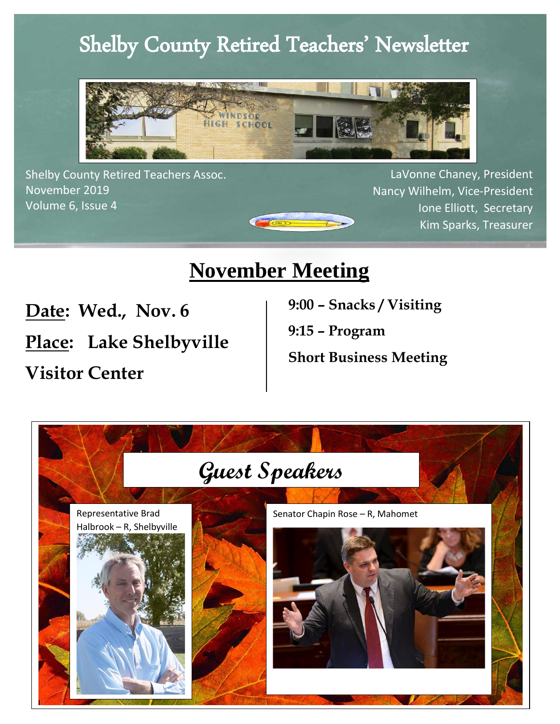## Shelby County Retired Teachers' Newsletter



 November 2019 Shelby County Retired Teachers Assoc. Volume 6, Issue 4

LaVonne Chaney, President Nancy Wilhelm, Vice-President Ione Elliott, Secretary Kim Sparks, Treasurer

## **November Meeting**

 $\sqrt{\frac{1}{\sqrt{10}}}}$ 

**Date: Wed., Nov. 6**

**Place: Lake Shelbyville** 

**Visitor Center** 

 **9:00 – Snacks / Visiting** 

**9:15 – Program** 

**Short Business Meeting**

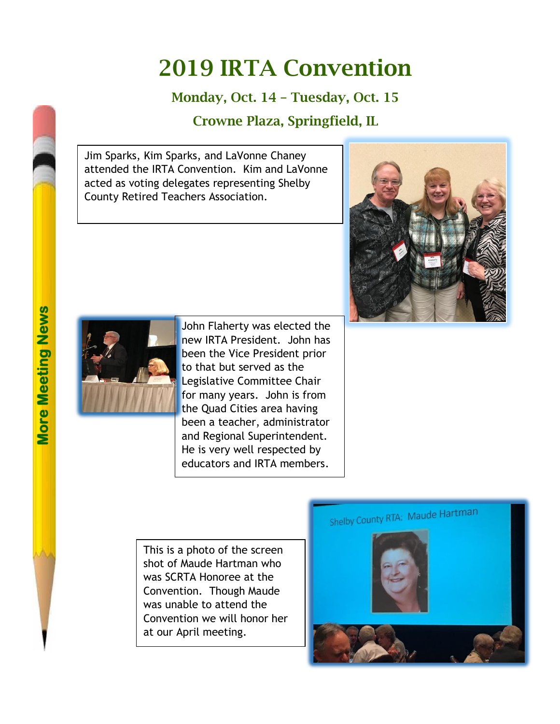## 2019 IRTA Convention

#### Monday, Oct. 14 – Tuesday, Oct. 15

#### Crowne Plaza, Springfield, IL

Jim Sparks, Kim Sparks, and LaVonne Chaney attended the IRTA Convention. Kim and LaVonne acted as voting delegates representing Shelby County Retired Teachers Association.





John Flaherty was elected the new IRTA President. John has been the Vice President prior to that but served as the Legislative Committee Chair for many years. John is from the Quad Cities area having been a teacher, administrator and Regional Superintendent. He is very well respected by educators and IRTA members.

This is a photo of the screen shot of Maude Hartman who was SCRTA Honoree at the Convention. Though Maude was unable to attend the Convention we will honor her at our April meeting.

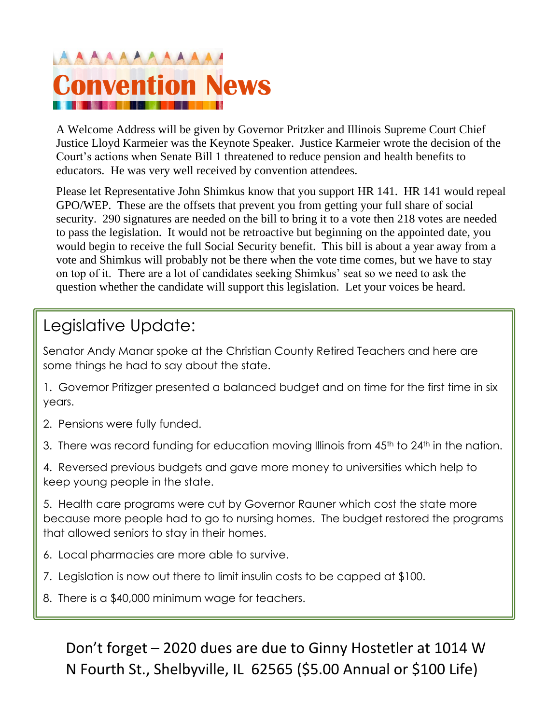# AAAAAAAAAAA **Convention News**

A Welcome Address will be given by Governor Pritzker and Illinois Supreme Court Chief Justice Lloyd Karmeier was the Keynote Speaker. Justice Karmeier wrote the decision of the Court's actions when Senate Bill 1 threatened to reduce pension and health benefits to educators. He was very well received by convention attendees.

Please let Representative John Shimkus know that you support HR 141. HR 141 would repeal GPO/WEP. These are the offsets that prevent you from getting your full share of social security. 290 signatures are needed on the bill to bring it to a vote then 218 votes are needed to pass the legislation. It would not be retroactive but beginning on the appointed date, you would begin to receive the full Social Security benefit. This bill is about a year away from a vote and Shimkus will probably not be there when the vote time comes, but we have to stay on top of it. There are a lot of candidates seeking Shimkus' seat so we need to ask the question whether the candidate will support this legislation. Let your voices be heard.

### Legislative Update:

Senator Andy Manar spoke at the Christian County Retired Teachers and here are some things he had to say about the state.

1. Governor Pritizger presented a balanced budget and on time for the first time in six years.

- 2. Pensions were fully funded.
- 3. There was record funding for education moving Illinois from 45<sup>th</sup> to 24<sup>th</sup> in the nation.

4. Reversed previous budgets and gave more money to universities which help to keep young people in the state.

5. Health care programs were cut by Governor Rauner which cost the state more because more people had to go to nursing homes. The budget restored the programs that allowed seniors to stay in their homes.

- 6. Local pharmacies are more able to survive.
- 7. Legislation is now out there to limit insulin costs to be capped at \$100.
- 8. There is a \$40,000 minimum wage for teachers.

Don't forget – 2020 dues are due to Ginny Hostetler at 1014 W N Fourth St., Shelbyville, IL 62565 (\$5.00 Annual or \$100 Life)

9. Retirees can now come back into TRIP if they have dropped out for some reason.